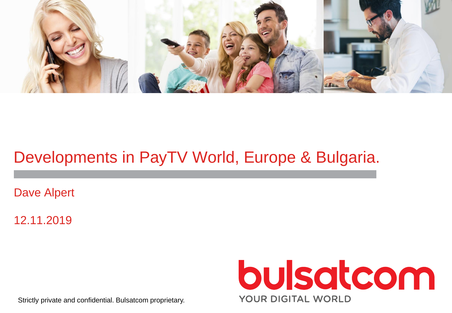

# Developments in PayTV World, Europe & Bulgaria.

Dave Alpert

12.11.2019



Strictly private and confidential. Bulsatcom proprietary.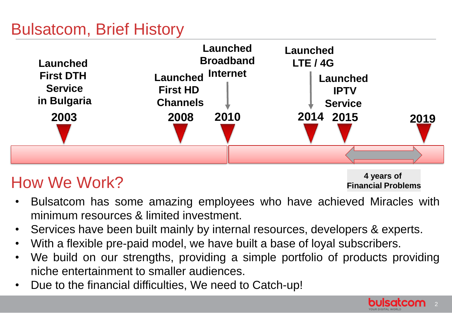# Bulsatcom, Brief History



# How We Work?

**4 years of Financial Problems**

- Bulsatcom has some amazing employees who have achieved Miracles with minimum resources & limited investment.
- Services have been built mainly by internal resources, developers & experts.
- With a flexible pre-paid model, we have built a base of loyal subscribers.
- We build on our strengths, providing a simple portfolio of products providing niche entertainment to smaller audiences.
- Due to the financial difficulties, We need to Catch-up!

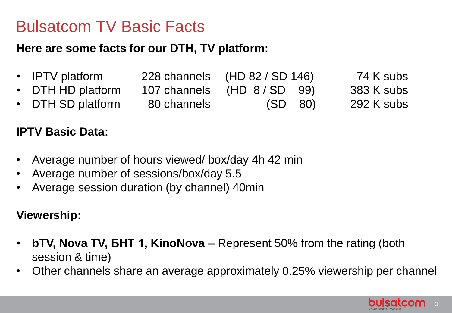## Bulsatcom TV Basic Facts

#### **Here are some facts for our DTH, TV platform:**

- IPTV platform 228 channels (HD 82 / SD 146) 74 K subs DTH HD platform 107 channels (HD 8/SD 99) 383 K subs
- DTH SD platform 80 channels (SD 80) 292 K subs

#### **IPTV Basic Data:**

- Average number of hours viewed/ box/day 4h 42 min
- Average number of sessions/box/day 5.5
- Average session duration (by channel) 40min

#### **Viewership:**

- **bTV, Nova TV, БНТ 1, KinoNova**  Represent 50% from the rating (both session & time)
- Other channels share an average approximately 0.25% viewership per channel

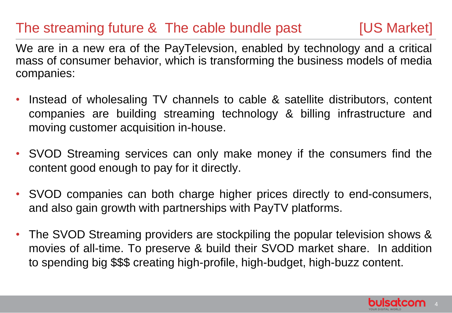## The streaming future & The cable bundle past [US Market]

We are in a new era of the PayTelevsion, enabled by technology and a critical mass of consumer behavior, which is transforming the business models of media companies:

- Instead of wholesaling TV channels to cable & satellite distributors, content companies are building streaming technology & billing infrastructure and moving customer acquisition in-house.
- SVOD Streaming services can only make money if the consumers find the content good enough to pay for it directly.
- SVOD companies can both charge higher prices directly to end-consumers, and also gain growth with partnerships with PayTV platforms.
- The SVOD Streaming providers are stockpiling the popular television shows & movies of all-time. To preserve & build their SVOD market share. In addition to spending big \$\$\$ creating high-profile, high-budget, high-buzz content.

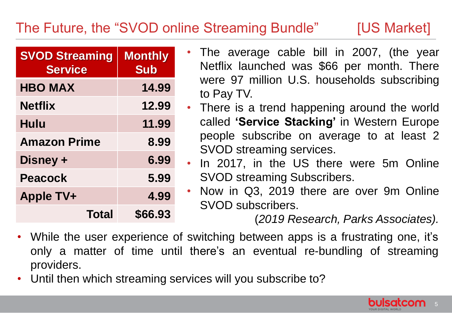## The Future, the "SVOD online Streaming Bundle" [US Market]

| <b>SVOD Streaming</b><br><b>Service</b> | <b>Monthly</b><br><b>Sub</b> |
|-----------------------------------------|------------------------------|
| <b>HBO MAX</b>                          | 14.99                        |
| <b>Netflix</b>                          | 12.99                        |
| Hulu                                    | 11.99                        |
| <b>Amazon Prime</b>                     | 8.99                         |
| Disney +                                | 6.99                         |
| <b>Peacock</b>                          | 5.99                         |
| <b>Apple TV+</b>                        | 4.99                         |
| Total                                   | \$66.93                      |

- The average cable bill in 2007, (the year Netflix launched was \$66 per month. There were 97 million U.S. households subscribing to Pay TV.
- There is a trend happening around the world called **'Service Stacking'** in Western Europe people subscribe on average to at least 2 SVOD streaming services.
- In 2017, in the US there were 5m Online SVOD streaming Subscribers.
- Now in Q3, 2019 there are over 9m Online SVOD subscribers.

(*2019 Research, Parks Associates).*

- While the user experience of switching between apps is a frustrating one, it's only a matter of time until there's an eventual re-bundling of streaming providers.
- Until then which streaming services will you subscribe to?

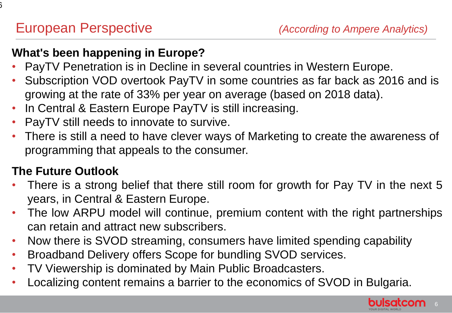$\mathbf{\hat{5}}$ 

#### **What's been happening in Europe?**

- PayTV Penetration is in Decline in several countries in Western Europe.
- Subscription VOD overtook PayTV in some countries as far back as 2016 and is growing at the rate of 33% per year on average (based on 2018 data).
- In Central & Eastern Europe PayTV is still increasing.
- PayTV still needs to innovate to survive.
- There is still a need to have clever ways of Marketing to create the awareness of programming that appeals to the consumer.

#### **The Future Outlook**

- There is a strong belief that there still room for growth for Pay TV in the next 5 years, in Central & Eastern Europe.
- The low ARPU model will continue, premium content with the right partnerships can retain and attract new subscribers.
- Now there is SVOD streaming, consumers have limited spending capability
- Broadband Delivery offers Scope for bundling SVOD services.
- TV Viewership is dominated by Main Public Broadcasters.
- Localizing content remains a barrier to the economics of SVOD in Bulgaria.

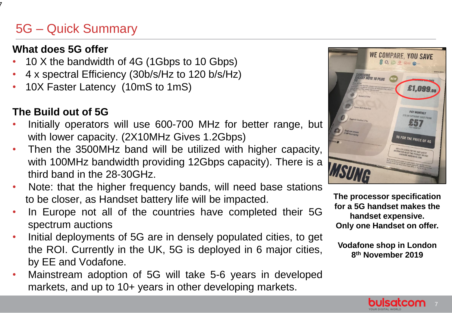#### 5G – Quick Summary

#### **What does 5G offer**

7

- 10 X the bandwidth of 4G (1Gbps to 10 Gbps)
- 4 x spectral Efficiency (30b/s/Hz to 120 b/s/Hz)
- 10X Faster Latency (10mS to 1mS)

#### **The Build out of 5G**

- Initially operators will use 600-700 MHz for better range, but with lower capacity. (2X10MHz Gives 1.2Gbps)
- Then the 3500MHz band will be utilized with higher capacity, with 100MHz bandwidth providing 12Gbps capacity). There is a third band in the 28-30GHz.
- Note: that the higher frequency bands, will need base stations to be closer, as Handset battery life will be impacted.
- In Europe not all of the countries have completed their 5G spectrum auctions
- Initial deployments of 5G are in densely populated cities, to get the ROI. Currently in the UK, 5G is deployed in 6 major cities, by EE and Vodafone.
- Mainstream adoption of 5G will take 5-6 years in developed markets, and up to 10+ years in other developing markets.



**The processor specification for a 5G handset makes the handset expensive. Only one Handset on offer.**

**Vodafone shop in London 8 th November 2019**

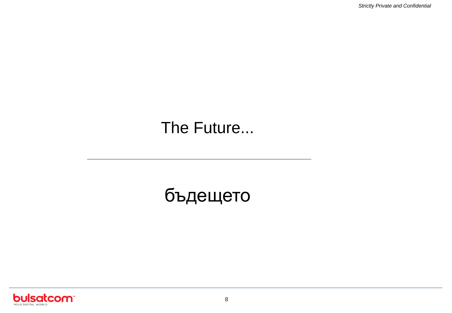*Strictly Private and Confidential*

## The Future...

# бъдещето

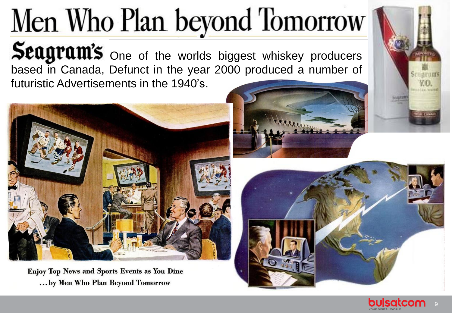# Men Who Plan beyond Tomorrow

Seagram's One of the worlds biggest whiskey producers based in Canada, Defunct in the year 2000 produced a number of futuristic Advertisements in the 1940's.



Enjoy Top News and Sports Events as You Dine ... by Men Who Plan Beyond Tomorrow